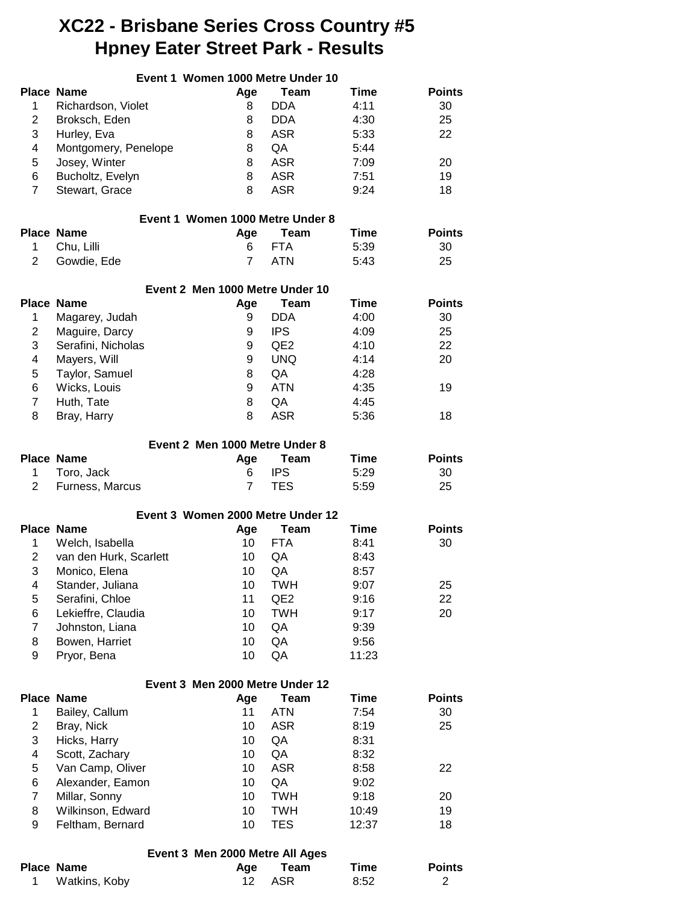# **XC22 - Brisbane Series Cross Country #5 Hpney Eater Street Park - Results**

|                | Event 1 Women 1000 Metre Under 10  |                |                           |              |                                 |
|----------------|------------------------------------|----------------|---------------------------|--------------|---------------------------------|
|                | <b>Place Name</b>                  | Age            | <b>Team</b>               | Time         | <b>Points</b>                   |
| $\mathbf 1$    | Richardson, Violet                 | 8              | <b>DDA</b>                | 4:11         | 30                              |
| $\overline{2}$ | Broksch, Eden                      | 8              | DDA                       | 4:30         | 25                              |
| 3              | Hurley, Eva                        | 8              | <b>ASR</b>                | 5:33         | 22                              |
| 4              | Montgomery, Penelope               | 8              | QA                        | 5:44         |                                 |
| 5              | Josey, Winter                      | 8              | <b>ASR</b>                | 7:09         | 20                              |
| 6              | Bucholtz, Evelyn                   | 8              | <b>ASR</b>                | 7:51         | 19                              |
| $\overline{7}$ | Stewart, Grace                     | 8              | <b>ASR</b>                | 9:24         | 18                              |
|                | Event 1 Women 1000 Metre Under 8   |                |                           |              |                                 |
|                | <b>Place Name</b>                  | Age            | Team                      | Time         | <b>Points</b>                   |
| 1              | Chu, Lilli                         | 6              | <b>FTA</b>                | 5:39         | 30                              |
| $\overline{2}$ | Gowdie, Ede                        | $\overline{7}$ | <b>ATN</b>                | 5:43         | 25                              |
|                | Event 2 Men 1000 Metre Under 10    |                |                           |              |                                 |
|                | <b>Place Name</b>                  | Age            | <b>Team</b>               | Time         | <b>Points</b>                   |
| 1              | Magarey, Judah                     | 9              | <b>DDA</b>                | 4:00         | 30                              |
| $\overline{c}$ | Maguire, Darcy                     | 9              | <b>IPS</b>                | 4:09         | 25                              |
| 3              | Serafini, Nicholas                 | 9              | QE <sub>2</sub>           | 4:10         | 22                              |
| 4              | Mayers, Will                       | 9              | <b>UNQ</b>                | 4:14         | 20                              |
| 5              | Taylor, Samuel                     | 8              | QA                        | 4:28         |                                 |
| 6              | Wicks, Louis                       | 9              | <b>ATN</b>                | 4:35         | 19                              |
| $\overline{7}$ | Huth, Tate                         | 8              | QA                        | 4:45         |                                 |
| 8              | Bray, Harry                        | 8              | <b>ASR</b>                | 5:36         | 18                              |
|                |                                    |                |                           |              |                                 |
|                | Event 2 Men 1000 Metre Under 8     |                |                           |              |                                 |
|                | <b>Place Name</b>                  | Age            | <b>Team</b>               | Time         | <b>Points</b>                   |
| 1              | Toro, Jack                         | 6              | <b>IPS</b>                | 5:29         | 30                              |
| $\overline{2}$ | Furness, Marcus                    | $\overline{7}$ | <b>TES</b>                | 5:59         | 25                              |
|                | Event 3 Women 2000 Metre Under 12  |                |                           |              |                                 |
|                | <b>Place Name</b>                  | Age            | <b>Team</b>               | Time         | <b>Points</b>                   |
| 1              | Welch, Isabella                    | 10             | <b>FTA</b>                | 8:41         | 30                              |
| 2              | van den Hurk, Scarlett             | 10             | QA                        | 8:43         |                                 |
| 3              | Monico, Elena                      | 10             | QA                        | 8:57         |                                 |
| 4              | Stander, Juliana                   | 10             | TWH                       | 9:07         | 25                              |
| 5              | Serafini, Chloe                    | 11             | QE <sub>2</sub>           | 9:16         | 22                              |
| 6              | Lekieffre, Claudia                 | 10             | <b>TWH</b>                | 9:17         | 20                              |
| $\overline{7}$ | Johnston, Liana                    | 10             | QA                        | 9:39         |                                 |
| 8              | Bowen, Harriet                     | 10             | QA                        | 9:56         |                                 |
| 9              | Pryor, Bena                        | 10             | QA                        | 11:23        |                                 |
|                | Event 3 Men 2000 Metre Under 12    |                |                           |              |                                 |
|                | <b>Place Name</b>                  | Age            | <b>Team</b>               | Time         | <b>Points</b>                   |
| 1              | Bailey, Callum                     | 11             | <b>ATN</b>                | 7:54         | 30                              |
| $\overline{2}$ | Bray, Nick                         | 10             | <b>ASR</b>                | 8:19         | 25                              |
| 3              | Hicks, Harry                       | 10             | QA                        | 8:31         |                                 |
| 4              | Scott, Zachary                     | 10             | QA                        | 8:32         |                                 |
| 5              | Van Camp, Oliver                   | 10             | <b>ASR</b>                | 8:58         | 22                              |
| 6              | Alexander, Eamon                   | 10             | QA                        | 9:02         |                                 |
| $\overline{7}$ | Millar, Sonny                      | 10             | <b>TWH</b>                | 9:18         | 20                              |
| 8              | Wilkinson, Edward                  | 10             | <b>TWH</b>                | 10:49        | 19                              |
| 9              | Feltham, Bernard                   | 10             | <b>TES</b>                | 12:37        | 18                              |
|                |                                    |                |                           |              |                                 |
|                | Event 3 Men 2000 Metre All Ages    |                |                           |              |                                 |
| 1              | <b>Place Name</b><br>Watkins, Koby | Age<br>12      | <b>Team</b><br><b>ASR</b> | Time<br>8:52 | <b>Points</b><br>$\overline{2}$ |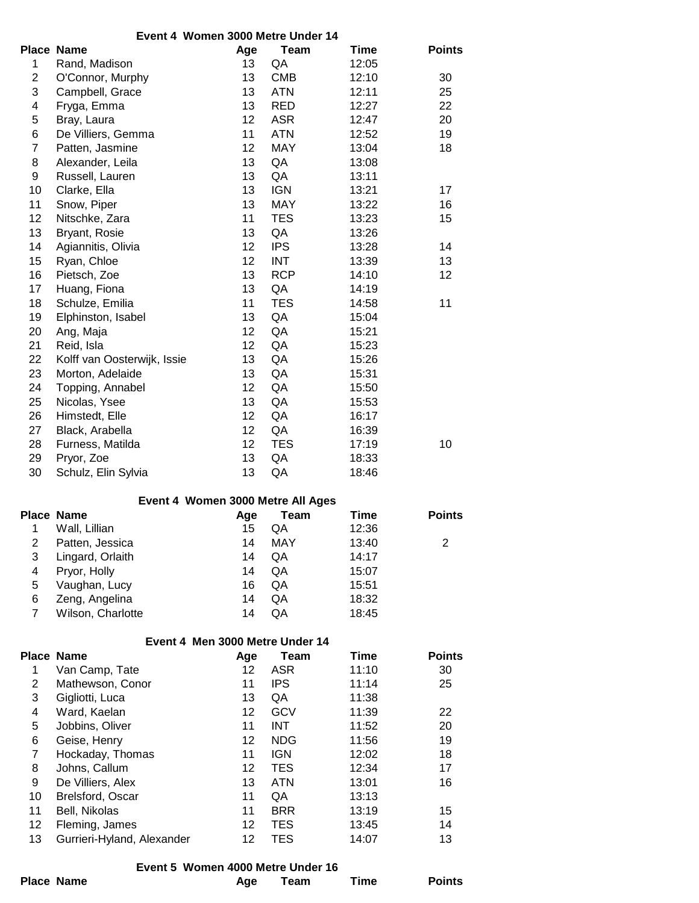|                         | Event 4 Women 3000 Metre Under 14 |     |             |             |                |
|-------------------------|-----------------------------------|-----|-------------|-------------|----------------|
|                         | Place Name                        | Age | <b>Team</b> | <b>Time</b> | <b>Points</b>  |
| 1                       | Rand, Madison                     | 13  | QA          | 12:05       |                |
| $\overline{2}$          | O'Connor, Murphy                  | 13  | <b>CMB</b>  | 12:10       | 30             |
| 3                       | Campbell, Grace                   | 13  | <b>ATN</b>  | 12:11       | 25             |
| 4                       | Fryga, Emma                       | 13  | <b>RED</b>  | 12:27       | 22             |
| $\mathbf 5$             | Bray, Laura                       | 12  | <b>ASR</b>  | 12:47       | 20             |
| 6                       | De Villiers, Gemma                | 11  | <b>ATN</b>  | 12:52       | 19             |
| $\overline{7}$          | Patten, Jasmine                   | 12  | MAY         | 13:04       | 18             |
| 8                       | Alexander, Leila                  | 13  | QA          | 13:08       |                |
| 9                       | Russell, Lauren                   | 13  | QA          | 13:11       |                |
| 10                      | Clarke, Ella                      | 13  | <b>IGN</b>  | 13:21       | 17             |
| 11                      | Snow, Piper                       | 13  | MAY         | 13:22       | 16             |
| 12                      | Nitschke, Zara                    | 11  | <b>TES</b>  | 13:23       | 15             |
| 13                      | Bryant, Rosie                     | 13  | QA          | 13:26       |                |
| 14                      | Agiannitis, Olivia                | 12  | <b>IPS</b>  | 13:28       | 14             |
| 15                      | Ryan, Chloe                       | 12  | <b>INT</b>  | 13:39       | 13             |
| 16                      | Pietsch, Zoe                      | 13  | <b>RCP</b>  | 14:10       | 12             |
| 17                      | Huang, Fiona                      | 13  | QA          | 14:19       |                |
| 18                      | Schulze, Emilia                   | 11  | <b>TES</b>  | 14:58       | 11             |
| 19                      | Elphinston, Isabel                | 13  | QA          | 15:04       |                |
| 20                      | Ang, Maja                         | 12  | QA          | 15:21       |                |
| 21                      | Reid, Isla                        | 12  | QA          | 15:23       |                |
| 22                      | Kolff van Oosterwijk, Issie       | 13  | QA          | 15:26       |                |
| 23                      | Morton, Adelaide                  | 13  | QA          | 15:31       |                |
| 24                      | Topping, Annabel                  | 12  | QA          | 15:50       |                |
| 25                      | Nicolas, Ysee                     | 13  | QA          | 15:53       |                |
| 26                      |                                   | 12  | QA          | 16:17       |                |
| 27                      | Himstedt, Elle                    | 12  | QA          | 16:39       |                |
| 28                      | Black, Arabella                   | 12  | <b>TES</b>  |             | 10             |
|                         | Furness, Matilda                  |     |             | 17:19       |                |
| 29                      | Pryor, Zoe                        | 13  | QA          | 18:33       |                |
| 30                      | Schulz, Elin Sylvia               | 13  | QA          | 18:46       |                |
|                         | Event 4 Women 3000 Metre All Ages |     |             |             |                |
|                         | <b>Place Name</b>                 | Age | <b>Team</b> | <b>Time</b> | <b>Points</b>  |
| 1                       | Wall, Lillian                     | 15  | QA          | 12:36       |                |
| $\overline{c}$          | Patten, Jessica                   | 14  | <b>MAY</b>  | 13:40       | $\overline{2}$ |
| 3                       | Lingard, Orlaith                  | 14  | QA          | 14:17       |                |
| $\overline{\mathbf{4}}$ | Pryor, Holly                      | 14  | QA          | 15:07       |                |
| $\mathbf 5$             | Vaughan, Lucy                     | 16  | QA          | 15:51       |                |
| 6                       | Zeng, Angelina                    | 14  | QA          | 18:32       |                |
| $\overline{7}$          | Wilson, Charlotte                 | 14  | QA          | 18:45       |                |
|                         | Event 4 Men 3000 Metre Under 14   |     |             |             |                |
|                         | Place Name                        | Age | <b>Team</b> | <b>Time</b> | <b>Points</b>  |
| 1                       | Van Camp, Tate                    | 12  | <b>ASR</b>  | 11:10       | 30             |
| $\overline{c}$          | Mathewson, Conor                  | 11  | <b>IPS</b>  | 11:14       | 25             |
| 3                       | Gigliotti, Luca                   | 13  | QA          | 11:38       |                |
| $\overline{\mathbf{4}}$ | Ward, Kaelan                      | 12  | <b>GCV</b>  | 11:39       | 22             |
| $\mathbf 5$             | Jobbins, Oliver                   | 11  | <b>INT</b>  | 11:52       | 20             |
| 6                       | Geise, Henry                      | 12  | <b>NDG</b>  | 11:56       | 19             |
| $\overline{7}$          | Hockaday, Thomas                  | 11  | <b>IGN</b>  | 12:02       | 18             |
| 8                       | Johns, Callum                     | 12  | <b>TES</b>  | 12:34       | 17             |
| 9                       | De Villiers, Alex                 | 13  | <b>ATN</b>  | 13:01       | 16             |
| 10                      | Brelsford, Oscar                  | 11  | QA          | 13:13       |                |
| 11                      | Bell, Nikolas                     | 11  | <b>BRR</b>  | 13:19       | 15             |
| 12                      | Fleming, James                    | 12  | TES         | 13:45       | 14             |
|                         |                                   |     |             |             |                |

## **Event 5 Women 4000 Metre Under 16**

13 Gurrieri-Hyland, Alexander 12 TES 14:07 13

| <b>Place Name</b> | Age | Team | Time | <b>Points</b> |
|-------------------|-----|------|------|---------------|
|                   |     |      |      |               |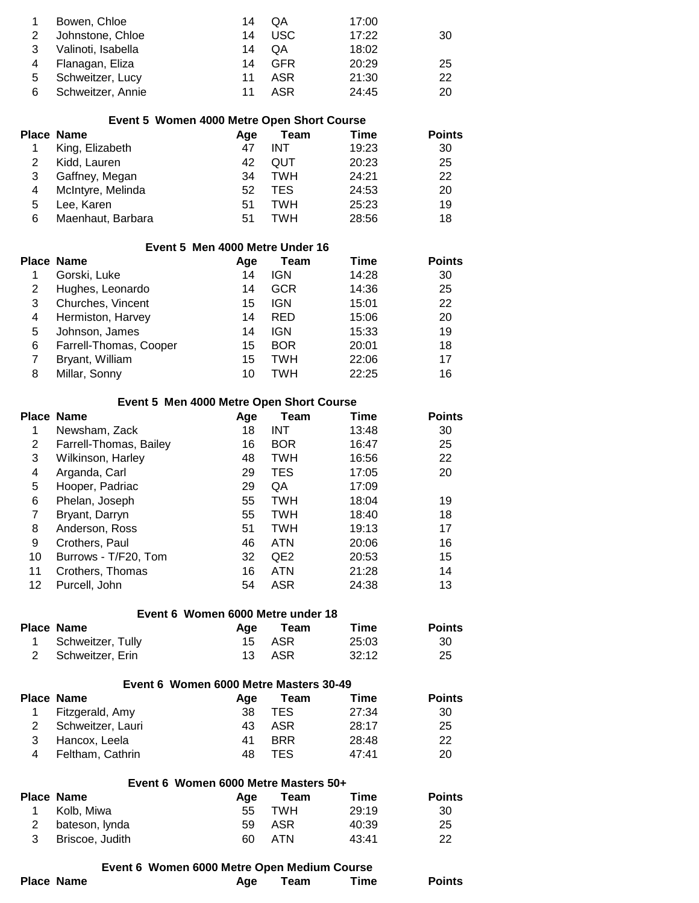| Bowen, Chloe       | 14 | <b>OA</b> | 17:00 |    |
|--------------------|----|-----------|-------|----|
| Johnstone, Chloe   | 14 | USC.      | 17:22 | 30 |
| Valinoti, Isabella | 14 | 0A        | 18:02 |    |
| Flanagan, Eliza    | 14 | GFR       | 20:29 | 25 |
| Schweitzer, Lucy   | 11 | ASR       | 21:30 | 22 |
| Schweitzer, Annie  | 11 | ASR       | 24:45 | 20 |
|                    |    |           |       |    |

| Event 5 Women 4000 Metre Open Short Course |                   |     |      |       |               |  |
|--------------------------------------------|-------------------|-----|------|-------|---------------|--|
|                                            | Place Name        | Aae | Team | Time  | <b>Points</b> |  |
|                                            | King, Elizabeth   | 47  | INT  | 19:23 | 30            |  |
|                                            | Kidd, Lauren      | 42  | QUT  | 20:23 | 25            |  |
| 3                                          | Gaffney, Megan    | 34  | TWH  | 24:21 | 22            |  |
| 4                                          | McIntyre, Melinda | 52  | TES. | 24:53 | 20            |  |
| 5                                          | Lee, Karen        | 51  | TWH  | 25:23 | 19            |  |
| 6                                          | Maenhaut, Barbara | 51  | TWH  | 28:56 | 18            |  |

|   | Event 5 Men 4000 Metre Under 16 |     |            |       |               |  |
|---|---------------------------------|-----|------------|-------|---------------|--|
|   | Place Name                      | Age | Team       | Time  | <b>Points</b> |  |
|   | Gorski, Luke                    | 14  | <b>IGN</b> | 14:28 | 30            |  |
| 2 | Hughes, Leonardo                | 14  | <b>GCR</b> | 14:36 | 25            |  |
| 3 | Churches, Vincent               | 15  | <b>IGN</b> | 15:01 | 22            |  |
| 4 | Hermiston, Harvey               | 14  | <b>RED</b> | 15:06 | 20            |  |
| 5 | Johnson, James                  | 14  | <b>IGN</b> | 15:33 | 19            |  |
| 6 | Farrell-Thomas, Cooper          | 15  | <b>BOR</b> | 20:01 | 18            |  |
|   | Bryant, William                 | 15  | TWH        | 22:06 | 17            |  |
| 8 | Millar, Sonny                   | 10  | TWH        | 22:25 | 16            |  |

#### **Event 5 Men 4000 Metre Open Short Course**

|    | Place Name             | Age | Team            | Time  | <b>Points</b> |
|----|------------------------|-----|-----------------|-------|---------------|
| 1  | Newsham, Zack          | 18  | <b>INT</b>      | 13:48 | 30            |
| 2  | Farrell-Thomas, Bailey | 16  | <b>BOR</b>      | 16:47 | 25            |
| 3  | Wilkinson, Harley      | 48  | <b>TWH</b>      | 16:56 | 22            |
| 4  | Arganda, Carl          | 29  | <b>TES</b>      | 17:05 | 20            |
| 5  | Hooper, Padriac        | 29  | QA              | 17:09 |               |
| 6  | Phelan, Joseph         | 55  | TWH             | 18:04 | 19            |
| 7  | Bryant, Darryn         | 55  | TWH             | 18:40 | 18            |
| 8  | Anderson, Ross         | 51  | <b>TWH</b>      | 19:13 | 17            |
| 9  | Crothers, Paul         | 46  | <b>ATN</b>      | 20:06 | 16            |
| 10 | Burrows - T/F20, Tom   | 32  | QE <sub>2</sub> | 20:53 | 15            |
| 11 | Crothers, Thomas       | 16  | <b>ATN</b>      | 21:28 | 14            |
| 12 | Purcell, John          | 54  | <b>ASR</b>      | 24:38 | 13            |

#### **Event 6 Women 6000 Metre under 18**

| Place Name          | Aae | Team   | Time  | <b>Points</b> |
|---------------------|-----|--------|-------|---------------|
| 1 Schweitzer, Tully |     | 15 ASR | 25:03 | 30            |
| 2 Schweitzer. Erin  |     | 13 ASR | 32:12 | 25            |

| Event 6 Women 6000 Metre Masters 30-49 |                   |     |            |       |               |  |
|----------------------------------------|-------------------|-----|------------|-------|---------------|--|
|                                        | <b>Place Name</b> | Aae | Team       | Time  | <b>Points</b> |  |
|                                        | Fitzgerald, Amy   | 38  | TES.       | 27:34 | 30            |  |
| 2                                      | Schweitzer, Lauri | 43  | ASR        | 28:17 | 25            |  |
| 3                                      | Hancox, Leela     | 41  | <b>BRR</b> | 28:48 | 22            |  |
| 4                                      | Feltham, Cathrin  | 48  | TFS        | 47.41 | 20            |  |

## **Event 6 Women 6000 Metre Masters 50+**

| Place Name        | Aae | Team   | Time  | <b>Points</b> |
|-------------------|-----|--------|-------|---------------|
| Kolb. Miwa        | 55  | TWH    | 29:19 | -30           |
| 2 bateson, lynda  |     | 59 ASR | 40:39 | 25            |
| 3 Briscoe, Judith | 60. | ATN    | 43:41 | 22            |

### **Event 6 Women 6000 Metre Open Medium Course**

| Time<br><b>Place Name</b><br>Team<br>Aae | <b>Points</b> |
|------------------------------------------|---------------|
|------------------------------------------|---------------|